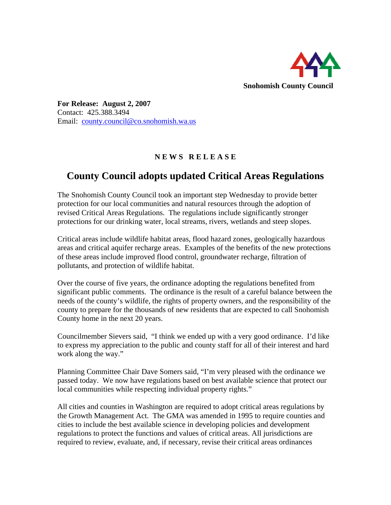

**For Release: August 2, 2007**  Contact: 425.388.3494 Email: [county.council@co.snohomish.wa.us](mailto:county.council@co.snohomish.wa.us)

## **N E W S R E L E A S E**

## **County Council adopts updated Critical Areas Regulations**

The Snohomish County Council took an important step Wednesday to provide better protection for our local communities and natural resources through the adoption of revised Critical Areas Regulations. The regulations include significantly stronger protections for our drinking water, local streams, rivers, wetlands and steep slopes.

Critical areas include wildlife habitat areas, flood hazard zones, geologically hazardous areas and critical aquifer recharge areas. Examples of the benefits of the new protections of these areas include improved flood control, groundwater recharge, filtration of pollutants, and protection of wildlife habitat.

Over the course of five years, the ordinance adopting the regulations benefited from significant public comments. The ordinance is the result of a careful balance between the needs of the county's wildlife, the rights of property owners, and the responsibility of the county to prepare for the thousands of new residents that are expected to call Snohomish County home in the next 20 years.

Councilmember Sievers said, "I think we ended up with a very good ordinance. I'd like to express my appreciation to the public and county staff for all of their interest and hard work along the way."

Planning Committee Chair Dave Somers said, "I'm very pleased with the ordinance we passed today. We now have regulations based on best available science that protect our local communities while respecting individual property rights."

All cities and counties in Washington are required to adopt critical areas regulations by the Growth Management Act. The GMA was amended in 1995 to require counties and cities to include the best available science in developing policies and development regulations to protect the functions and values of critical areas. All jurisdictions are required to review, evaluate, and, if necessary, revise their critical areas ordinances